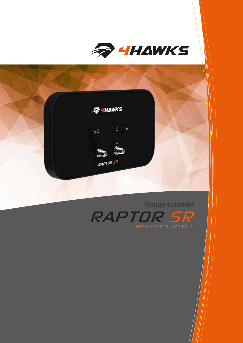



**Range extender**

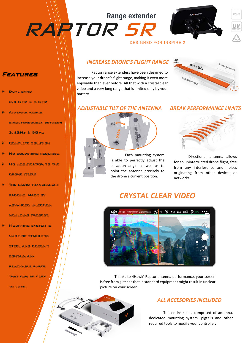# **ROHS** Range extender<br>RARTOR<sub>SR</sub> **UV** DESIGNED FOR INSPIRE 2

## *INCREASE DRONE'S FLIGHT RANGE*

Raptor range extenders have been designed to increase your drone's flight range, making it even more enjoyable than ever before. All that with a crystal clear video and a very long range that is limited only by your battery.



### *ADJUSTABLE TILT OF THE ANTENNA*



Each mounting system is able to perfectly adjust the elevation angle as well as to point the antenna precisely to the drone's current position.

#### *BREAK PERFORMANCE LIMITS*



Directional antenna allows for an uninterrupted drone flight, free from any interference and noises originating from other devices or networks.

# *CRYSTAL CLEAR VIDEO*



Thanks to 4Hawk' Raptor antenna performance, your screen is free from glitches that in standard equipment might result in unclear picture on your screen.

## *ALL ACCESORIES INCLUDED*

The entire set is comprised of antenna, dedicated mounting system, pigtails and other required tools to modify your controller.

#### Features

DUAL BAND

2.4 GHz & 5 GHz

Antenna works

simultaneously between

2.4GHz & 5GHz

Complete solution

No soldering required

 No modification to the drone itself

The radio transparent

advanced injection

radome made by

moulding process

 Mounting system is made of stainless steel and doesn't contain any

removable parts

THAT CAN BE EASY

to lose.